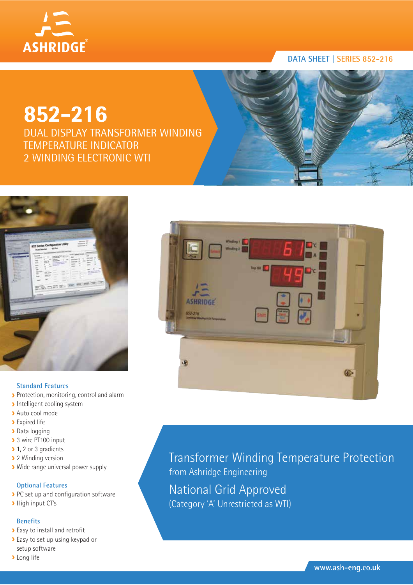

# **DATA SHEET | SERIES 852-216**

# **852-216**

DUAL DISPLAY TRANSFORMER WINDING TEMPERATURE INDICATOR 2 WINDING ELECTRONIC WTI



# **Standard Features**

- Protection, monitoring, control and alarm
- **Intelligent cooling system**
- Auto cool mode
- **>** Expired life
- Data logging
- ▶ 3 wire PT100 input
- ▶ 1, 2 or 3 gradients
- ▶ 2 Winding version
- Wide range universal power supply

# **Optional Features**

- PC set up and configuration software
- > High input CT's

# **Benefits**

- Easy to install and retrofit
- **Easy to set up using keypad or** setup software
- **>** Long life



Transformer Winding Temperature Protection from Ashridge Engineering National Grid Approved (Category 'A' Unrestricted as WTI)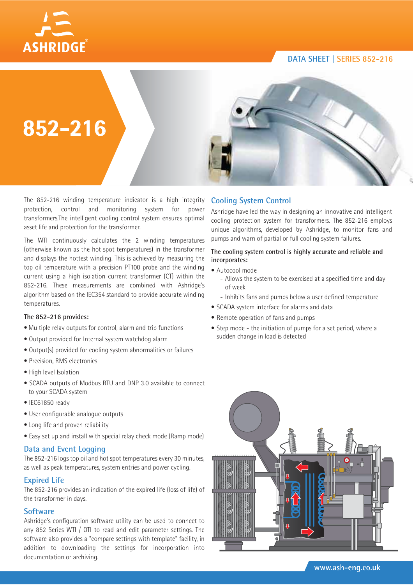# **DATA SHEET | SERIES 852-216**





**852-216**

The 852-216 winding temperature indicator is a high integrity protection, control and monitoring system for power transformers.The intelligent cooling control system ensures optimal asset life and protection for the transformer.

The WTI continuously calculates the 2 winding temperatures (otherwise known as the hot spot temperatures) in the transformer and displays the hottest winding. This is achieved by measuring the top oil temperature with a precision PT100 probe and the winding current using a high isolation current transformer (CT) within the 852-216. These measurements are combined with Ashridge's algorithm based on the IEC354 standard to provide accurate winding temperatures.

#### **The 852-216 provides:**

- Multiple relay outputs for control, alarm and trip functions
- Output provided for Internal system watchdog alarm
- Output(s) provided for cooling system abnormalities or failures
- Precision, RMS electronics
- High level Isolation
- SCADA outputs of Modbus RTU and DNP 3.0 available to connect to your SCADA system
- IEC61850 ready
- User configurable analogue outputs
- Long life and proven reliability
- Easy set up and install with special relay check mode (Ramp mode)

#### **Data and Event Logging**

The 852-216 logs top oil and hot spot temperatures every 30 minutes, as well as peak temperatures, system entries and power cycling.

# **Expired Life**

The 852-216 provides an indication of the expired life (loss of life) of the transformer in days.

# **Software**

Ashridge's configuration software utility can be used to connect to any 852 Series WTI / OTI to read and edit parameter settings. The software also provides a "compare settings with template" facility, in addition to downloading the settings for incorporation into documentation or archiving.

# **Cooling System Control**

Ashridge have led the way in designing an innovative and intelligent cooling protection system for transformers. The 852-216 employs unique algorithms, developed by Ashridge, to monitor fans and pumps and warn of partial or full cooling system failures.

#### **The cooling system control is highly accurate and reliable and incorporates:**

- Autocool mode
	- Allows the system to be exercised at a specified time and day of week
	- Inhibits fans and pumps below a user defined temperature
- SCADA system interface for alarms and data
- Remote operation of fans and pumps
- Step mode the initiation of pumps for a set period, where a sudden change in load is detected

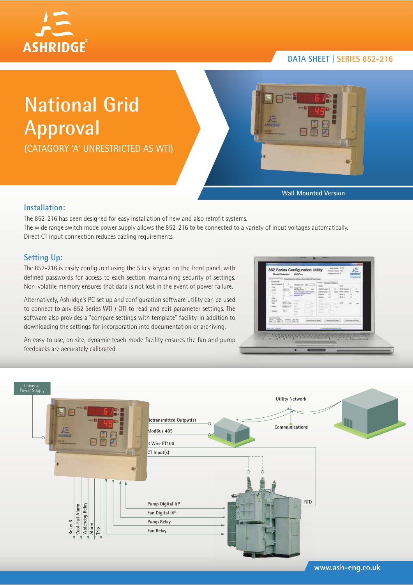

# **DATA SHEET | SERIES 852-216**

# **National Grid Approval**

(CATAGORY 'A' UNRESTRICTED AS WTI)



**Wall Mounted Version**

# **Installation:**

The 852-216 has been designed for easy installation of new and also retrofit systems. The wide range switch mode power supply allows the 852-216 to be connected to a variety of input voltages automatically. Direct CT input connection reduces cabling requirements.

# **Setting Up:**

The 852-216 is easily configured using the 5 key keypad on the front panel, with defined passwords for access to each section, maintaining security of settings. Non-volatile memory ensures that data is not lost in the event of power failure.

Alternatively, Ashridge's PC set up and configuration software utility can be used to connect to any 852 Series WTI / OTI to read and edit parameter settings. The software also provides a "compare settings with template" facility, in addition to downloading the settings for incorporation into documentation or archiving.

An easy to use, on site, dynamic teach mode facility ensures the fan and pump feedbacks are accurately calibrated.

| <b>SHIP</b><br>h.<br>1411<br><b>ATAN</b><br><b>Hard</b>                     | <b><i><u>Independent</u></i></b><br><b>Trime Tay</b><br>tele l'assetérirate las plus<br><b>SEAST-RIGHT MALE</b><br><b>Moderate Str.</b><br>1.34<br>- 1<br>$-114$<br>.<br>$-1$ | <b>Trend Chemical Mexical</b><br>State Corporate 19<br>$-0.01$<br>-<br><b>CONTRACT</b>                                                                 | <b>UNIT</b><br><b>With Street</b><br>$\sim$ |  |
|-----------------------------------------------------------------------------|-------------------------------------------------------------------------------------------------------------------------------------------------------------------------------|--------------------------------------------------------------------------------------------------------------------------------------------------------|---------------------------------------------|--|
| <b><i><u>SECTION TIMES</u></i></b><br><b>WORKS AND AIR</b><br>almost kinesi |                                                                                                                                                                               | the control and production of the control of the control of the control of the con-<br>depositor is that  See the division<br>A complete promptable to | Linkerback Miller                           |  |



**www.ash-eng.co.uk**